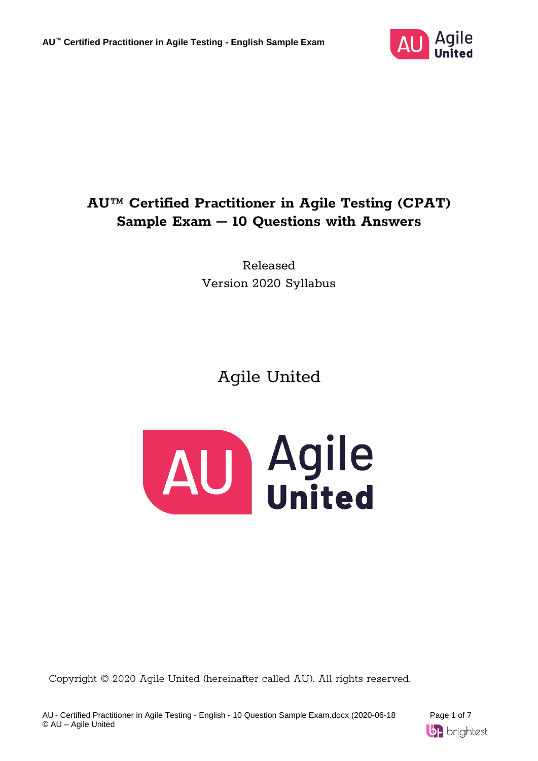

## **AU™ Certified Practitioner in Agile Testing (CPAT) Sample Exam – 10 Questions with Answers**

Released Version 2020 Syllabus

# Agile United



Copyright © 2020 Agile United (hereinafter called AU). All rights reserved.

AU - Certified Practitioner in Agile Testing - English - 10 Question Sample Exam.docx (2020-06-18 Page 1 of 7 © AU – Agile United

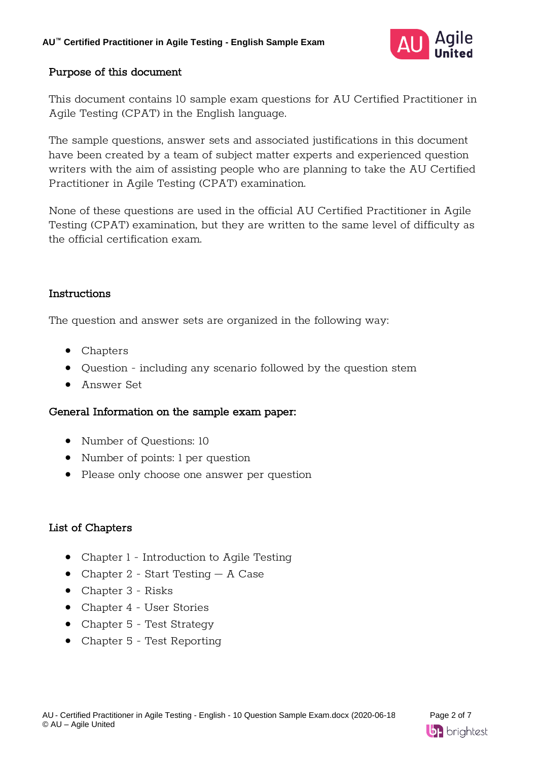

### Purpose of this document

This document contains 10 sample exam questions for AU Certified Practitioner in Agile Testing (CPAT) in the English language.

The sample questions, answer sets and associated justifications in this document have been created by a team of subject matter experts and experienced question writers with the aim of assisting people who are planning to take the AU Certified Practitioner in Agile Testing (CPAT) examination.

None of these questions are used in the official AU Certified Practitioner in Agile Testing (CPAT) examination, but they are written to the same level of difficulty as the official certification exam.

### Instructions

The question and answer sets are organized in the following way:

- Chapters
- Question including any scenario followed by the question stem
- Answer Set

### General Information on the sample exam paper:

- Number of Ouestions: 10
- Number of points: 1 per question
- Please only choose one answer per question

### List of Chapters

- Chapter 1 Introduction to Agile Testing
- Chapter 2 Start Testing A Case
- Chapter 3 Risks
- Chapter 4 User Stories
- Chapter 5 Test Strategy
- Chapter 5 Test Reporting

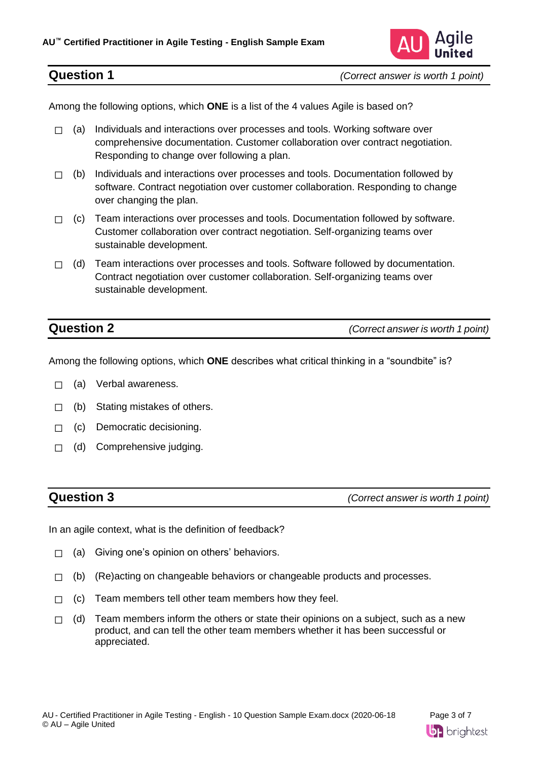

Among the following options, which **ONE** is a list of the 4 values Agile is based on?

- $\Box$  (a) Individuals and interactions over processes and tools. Working software over comprehensive documentation. Customer collaboration over contract negotiation. Responding to change over following a plan.
- $\Box$  (b) Individuals and interactions over processes and tools. Documentation followed by software. Contract negotiation over customer collaboration. Responding to change over changing the plan.
- $\Box$  (c) Team interactions over processes and tools. Documentation followed by software. Customer collaboration over contract negotiation. Self-organizing teams over sustainable development.
- $\Box$  (d) Team interactions over processes and tools. Software followed by documentation. Contract negotiation over customer collaboration. Self-organizing teams over sustainable development.

**Question 2** *(Correct answer is worth 1 point)*

Among the following options, which **ONE** describes what critical thinking in a "soundbite" is?

- □ (a) Verbal awareness.
- $\Box$  (b) Stating mistakes of others.
- □ (c) Democratic decisioning.
- □ (d) Comprehensive judging.

**Question 3** *(Correct answer is worth 1 point)*

In an agile context, what is the definition of feedback?

- $\Box$  (a) Giving one's opinion on others' behaviors.
- $\Box$  (b) (Re)acting on changeable behaviors or changeable products and processes.
- $\Box$  (c) Team members tell other team members how they feel.
- $\Box$  (d) Team members inform the others or state their opinions on a subject, such as a new product, and can tell the other team members whether it has been successful or appreciated.

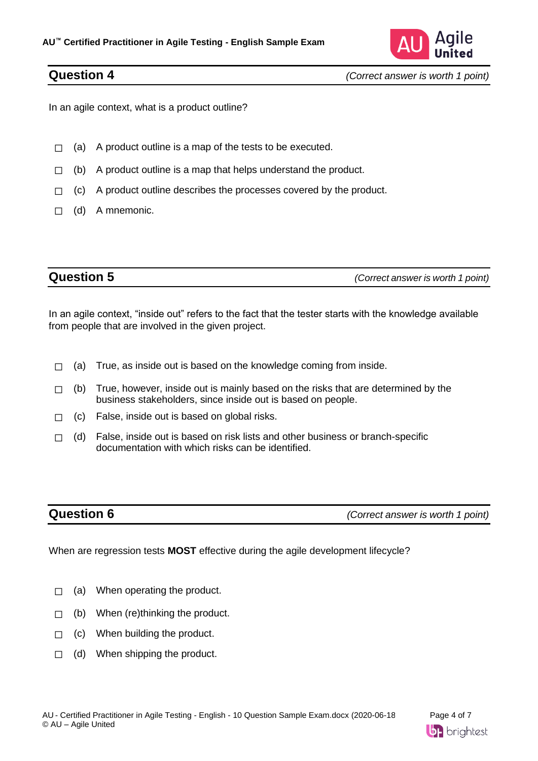

In an agile context, what is a product outline?

- $\Box$  (a) A product outline is a map of the tests to be executed.
- $\Box$  (b) A product outline is a map that helps understand the product.
- $\Box$  (c) A product outline describes the processes covered by the product.
- $\Box$  (d) A mnemonic.

**Question 5** *(Correct answer is worth 1 point)*

In an agile context, "inside out" refers to the fact that the tester starts with the knowledge available from people that are involved in the given project.

- $\Box$  (a) True, as inside out is based on the knowledge coming from inside.
- $\Box$  (b) True, however, inside out is mainly based on the risks that are determined by the business stakeholders, since inside out is based on people.
- $\Box$  (c) False, inside out is based on global risks.
- $\Box$  (d) False, inside out is based on risk lists and other business or branch-specific documentation with which risks can be identified.

**Question 6** *(Correct answer is worth 1 point)*

When are regression tests **MOST** effective during the agile development lifecycle?

- $\Box$  (a) When operating the product.
- $\Box$  (b) When (re)thinking the product.
- $\Box$  (c) When building the product.
- $\Box$  (d) When shipping the product.

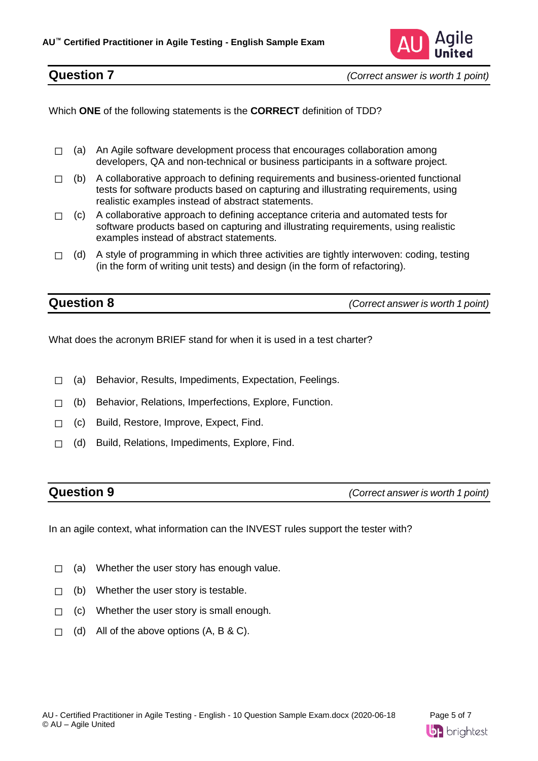

Which **ONE** of the following statements is the **CORRECT** definition of TDD?

- $\Box$  (a) An Agile software development process that encourages collaboration among developers, QA and non-technical or business participants in a software project.
- $\Box$  (b) A collaborative approach to defining requirements and business-oriented functional tests for software products based on capturing and illustrating requirements, using realistic examples instead of abstract statements.
- $\Box$  (c) A collaborative approach to defining acceptance criteria and automated tests for software products based on capturing and illustrating requirements, using realistic examples instead of abstract statements.
- $\Box$  (d) A style of programming in which three activities are tightly interwoven: coding, testing (in the form of writing unit tests) and design (in the form of refactoring).

**Question 8** *(Correct answer is worth 1 point)*

What does the acronym BRIEF stand for when it is used in a test charter?

- ☐ (a) Behavior, Results, Impediments, Expectation, Feelings.
- ☐ (b) Behavior, Relations, Imperfections, Explore, Function.
- ☐ (c) Build, Restore, Improve, Expect, Find.
- ☐ (d) Build, Relations, Impediments, Explore, Find.

**Question 9** *(Correct answer is worth 1 point)*

In an agile context, what information can the INVEST rules support the tester with?

- $\Box$  (a) Whether the user story has enough value.
- $\Box$  (b) Whether the user story is testable.
- $\Box$  (c) Whether the user story is small enough.
- $\Box$  (d) All of the above options  $(A, B & C)$ .

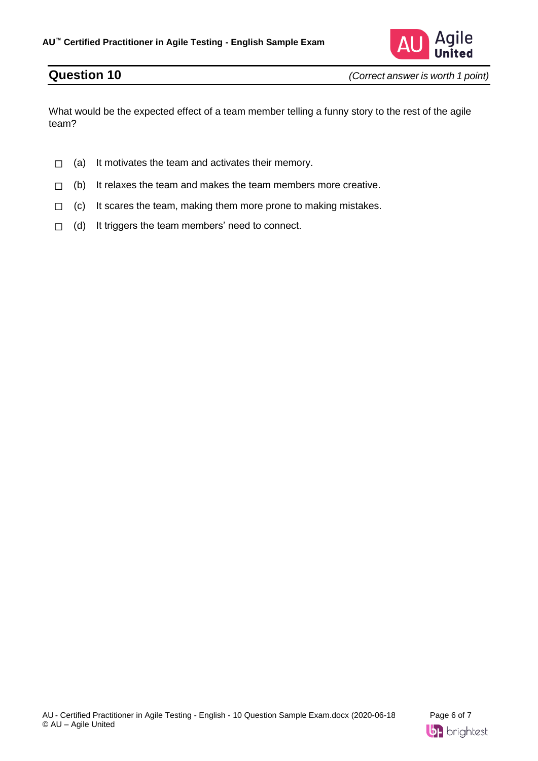

What would be the expected effect of a team member telling a funny story to the rest of the agile team?

- $\Box$  (a) It motivates the team and activates their memory.
- $\Box$  (b) It relaxes the team and makes the team members more creative.
- $\Box$  (c) It scares the team, making them more prone to making mistakes.
- $\Box$  (d) It triggers the team members' need to connect.